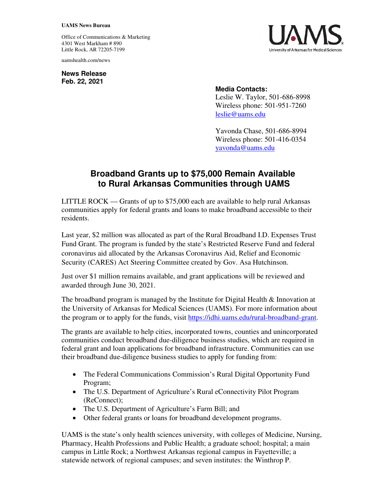## **UAMS News Bureau**

Office of Communications & Marketing 4301 West Markham # 890 Little Rock, AR 72205-7199

uamshealth.com/news

**News Release Feb. 22, 2021**



## **Media Contacts:**

Leslie W. Taylor, 501-686-8998 Wireless phone: 501-951-7260 [leslie@uams.edu](mailto:leslie@uams.edu)

Yavonda Chase, 501-686-8994 Wireless phone: 501-416-0354 [yavonda@uams.edu](mailto:yavonda@uams.edu) 

## **Broadband Grants up to \$75,000 Remain Available to Rural Arkansas Communities through UAMS**

LITTLE ROCK — Grants of up to \$75,000 each are available to help rural Arkansas communities apply for federal grants and loans to make broadband accessible to their residents.

Last year, \$2 million was allocated as part of the Rural Broadband I.D. Expenses Trust Fund Grant. The program is funded by the state's Restricted Reserve Fund and federal coronavirus aid allocated by the Arkansas Coronavirus Aid, Relief and Economic Security (CARES) Act Steering Committee created by Gov. Asa Hutchinson.

Just over \$1 million remains available, and grant applications will be reviewed and awarded through June 30, 2021.

The broadband program is managed by the Institute for Digital Health & Innovation at the University of Arkansas for Medical Sciences (UAMS). For more information about the program or to apply for the funds, visit [https://idhi.uams.edu/rural-broadband-grant.](https://idhi.uams.edu/rural-broadband-grant)

The grants are available to help cities, incorporated towns, counties and unincorporated communities conduct broadband due-diligence business studies, which are required in federal grant and loan applications for broadband infrastructure. Communities can use their broadband due-diligence business studies to apply for funding from:

- The Federal Communications Commission's Rural Digital Opportunity Fund Program;
- The U.S. Department of Agriculture's Rural eConnectivity Pilot Program (ReConnect);
- The U.S. Department of Agriculture's Farm Bill; and
- Other federal grants or loans for broadband development programs.

UAMS is the state's only health sciences university, with colleges of Medicine, Nursing, Pharmacy, Health Professions and Public Health; a graduate school; hospital; a main campus in Little Rock; a Northwest Arkansas regional campus in Fayetteville; a statewide network of regional campuses; and seven institutes: the Winthrop P.